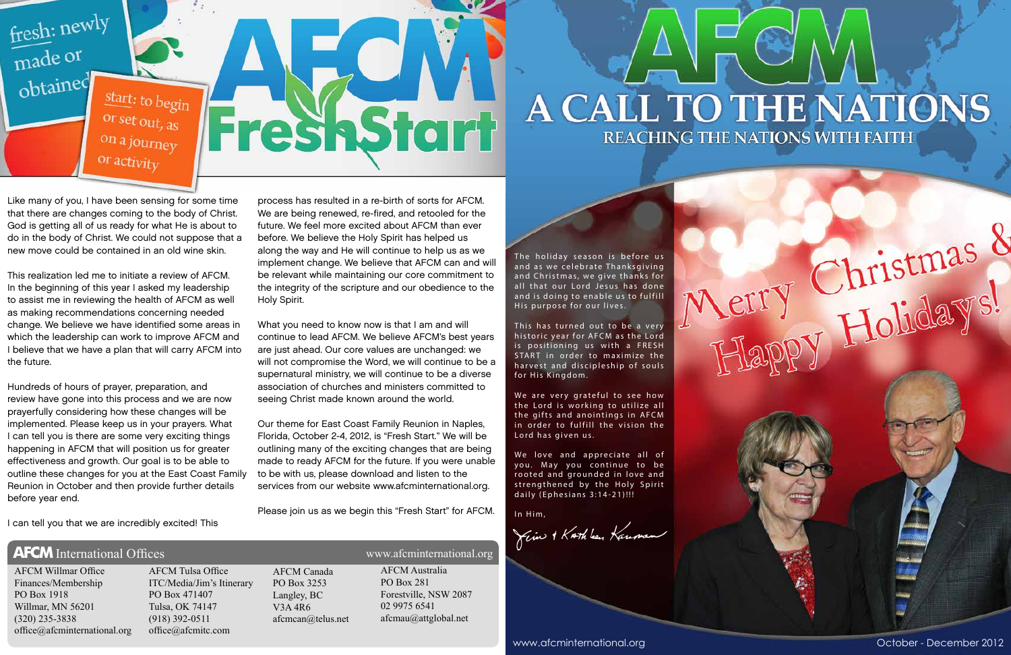The holiday season is before us and as we celebrate Thanksgiving and Christmas, we give thanks for all that our Lord Jesus has done and is doing to enable us to fulfill His purpose for our lives.

This has turned out to be a very historic year for AFCM as the Lord is positioning us with a FRESH START in order to maximize the harvest and discipleship of souls for His Kingdom.

We are very grateful to see how the Lord is working to utilize all the gifts and anointings in AFCM in order to fulfill the vision the Lord has given us.

We love and appreciate all of you. May you continue to be rooted and grounded in love and strengthened by the Holy Spirit daily (Ephesians 3:14-21)!!!

In Him,

 $\gamma$ cin + KATh ben Kansson

www.afcminternational.org and a state of the control of the Corollation Corollation Corollation Corollation Corollation Corollation Corollation Corollation Corollation Corollation Corollation Corollation Corollation Coroll

## A CALL TO THE NATIONS REACHING THE NATIONS WITH FAITH

Merry Christmas &



Like many of you, I have been sensing for some time that there are changes coming to the body of Christ. God is getting all of us ready for what He is about to do in the body of Christ. We could not suppose that a new move could be contained in an old wine skin.

This realization led me to initiate a review of AFCM. In the beginning of this year I asked my leadership to assist me in reviewing the health of AFCM as well as making recommendations concerning needed change. We believe we have identified some areas in which the leadership can work to improve AFCM and I believe that we have a plan that will carry AFCM into the future.

Hundreds of hours of prayer, preparation, and review have gone into this process and we are now prayerfully considering how these changes will be implemented. Please keep us in your prayers. What I can tell you is there are some very exciting things happening in AFCM that will position us for greater effectiveness and growth. Our goal is to be able to outline these changes for you at the East Coast Family Reunion in October and then provide further details before year end.

I can tell you that we are incredibly excited! This

process has resulted in a re-birth of sorts for AFCM. We are being renewed, re-fired, and retooled for the future. We feel more excited about AFCM than ever before. We believe the Holy Spirit has helped us along the way and He will continue to help us as we implement change. We believe that AFCM can and will be relevant while maintaining our core commitment to the integrity of the scripture and our obedience to the Holy Spirit.

What you need to know now is that I am and will continue to lead AFCM. We believe AFCM's best years are just ahead. Our core values are unchanged: we will not compromise the Word, we will continue to be a supernatural ministry, we will continue to be a diverse association of churches and ministers committed to seeing Christ made known around the world.

Our theme for East Coast Family Reunion in Naples, Florida, October 2-4, 2012, is "Fresh Start." We will be outlining many of the exciting changes that are being made to ready AFCM for the future. If you were unable to be with us, please download and listen to the services from our website www.afcminternational.org.

Please join us as we begin this "Fresh Start" for AFCM.

### **AFCM** International Offices www.afcminternational.org

AFCM Willmar Office Finances/Membership PO Box 1918 Willmar, MN 56201 (320) 235-3838 office@afcminternational.org

AFCM Tulsa Office ITC/Media/Jim's Itinerary PO Box 471407 Tulsa, OK 74147 (918) 392-0511 office@afcmitc.com

AFCM Canada PO Box 3253 Langley, BC V3A 4R6 afcmcan@telus.net

AFCM Australia PO Box 281 Forestville, NSW 2087 02 9975 6541 afcmau@attglobal.net